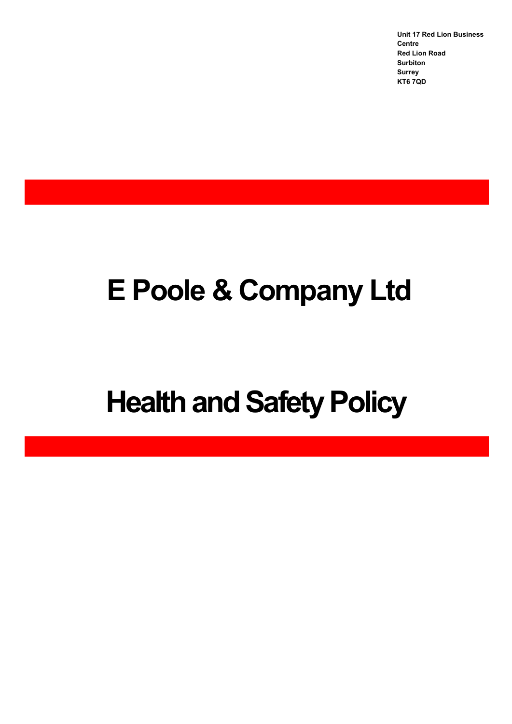**Unit 17 Red Lion Business Centre Red Lion Road Surbiton Surrey KT6 7QD**

# **E Poole & Company Ltd**

# **Health and Safety Policy**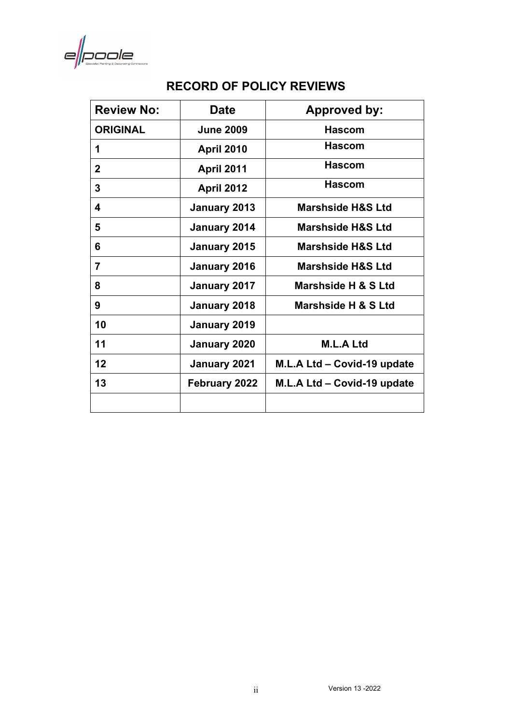$e\vert\!\vert$ poole

## **RECORD OF POLICY REVIEWS**

| <b>Review No:</b> | <b>Date</b>       | <b>Approved by:</b>          |
|-------------------|-------------------|------------------------------|
| <b>ORIGINAL</b>   | <b>June 2009</b>  | <b>Hascom</b>                |
| 1                 | <b>April 2010</b> | <b>Hascom</b>                |
| $\mathbf 2$       | <b>April 2011</b> | <b>Hascom</b>                |
| 3                 | <b>April 2012</b> | <b>Hascom</b>                |
| 4                 | January 2013      | <b>Marshside H&amp;S Ltd</b> |
| 5                 | January 2014      | <b>Marshside H&amp;S Ltd</b> |
| 6                 | January 2015      | <b>Marshside H&amp;S Ltd</b> |
| $\overline{7}$    | January 2016      | <b>Marshside H&amp;S Ltd</b> |
| 8                 | January 2017      | Marshside H & S Ltd          |
| 9                 | January 2018      | Marshside H & S Ltd          |
| 10                | January 2019      |                              |
| 11                | January 2020      | <b>M.L.A Ltd</b>             |
| 12                | January 2021      | M.L.A Ltd - Covid-19 update  |
| 13                | February 2022     | M.L.A Ltd - Covid-19 update  |
|                   |                   |                              |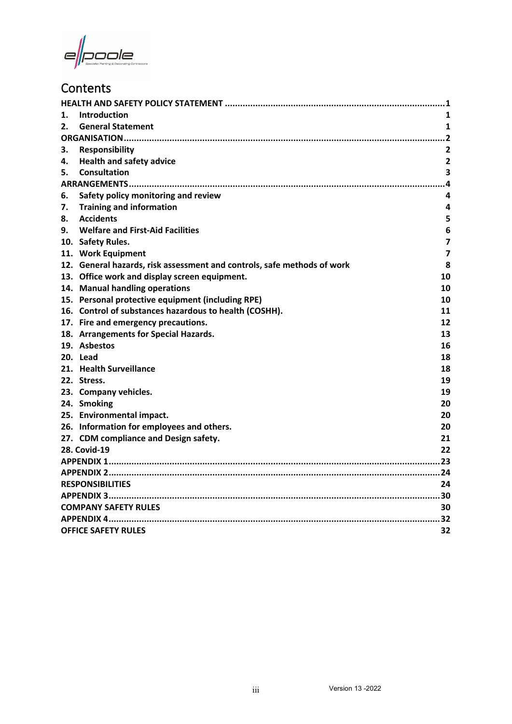e||poole

# **Contents**

| 1. | <b>Introduction</b>                                                     | 1                       |  |  |
|----|-------------------------------------------------------------------------|-------------------------|--|--|
| 2. | <b>General Statement</b>                                                | 1                       |  |  |
|    |                                                                         |                         |  |  |
| 3. | <b>Responsibility</b>                                                   | 2                       |  |  |
| 4. | <b>Health and safety advice</b>                                         | $\overline{\mathbf{2}}$ |  |  |
| 5. | <b>Consultation</b>                                                     | 3                       |  |  |
|    |                                                                         |                         |  |  |
| 6. | Safety policy monitoring and review                                     | 4                       |  |  |
| 7. | <b>Training and information</b>                                         | 4                       |  |  |
| 8. | <b>Accidents</b>                                                        | 5                       |  |  |
| 9. | <b>Welfare and First-Aid Facilities</b>                                 | 6                       |  |  |
|    | 10. Safety Rules.                                                       | 7                       |  |  |
|    | 11. Work Equipment                                                      | 7                       |  |  |
|    | 12. General hazards, risk assessment and controls, safe methods of work | 8                       |  |  |
|    | 13. Office work and display screen equipment.                           | 10                      |  |  |
|    | 14. Manual handling operations                                          | 10                      |  |  |
|    | 15. Personal protective equipment (including RPE)                       | 10                      |  |  |
|    | 16. Control of substances hazardous to health (COSHH).                  | 11                      |  |  |
|    | 17. Fire and emergency precautions.                                     | 12                      |  |  |
|    | 18. Arrangements for Special Hazards.                                   | 13                      |  |  |
|    | 19. Asbestos                                                            | 16                      |  |  |
|    | 20. Lead                                                                | 18                      |  |  |
|    | 21. Health Surveillance                                                 | 18                      |  |  |
|    | 22. Stress.                                                             | 19                      |  |  |
|    | 23. Company vehicles.                                                   | 19                      |  |  |
|    | 24. Smoking                                                             | 20                      |  |  |
|    | 25. Environmental impact.                                               | 20                      |  |  |
|    | 26. Information for employees and others.                               | 20                      |  |  |
|    | 27. CDM compliance and Design safety.                                   | 21                      |  |  |
|    | <b>28. Covid-19</b>                                                     | 22                      |  |  |
|    |                                                                         |                         |  |  |
|    |                                                                         |                         |  |  |
|    | <b>RESPONSIBILITIES</b>                                                 |                         |  |  |
|    |                                                                         |                         |  |  |
|    | <b>COMPANY SAFETY RULES</b>                                             |                         |  |  |
|    |                                                                         |                         |  |  |
|    | <b>OFFICE SAFETY RULES</b>                                              | 32                      |  |  |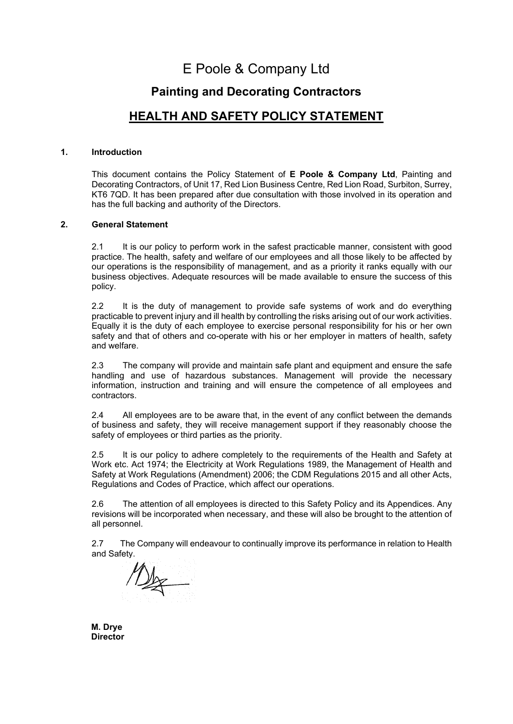# E Poole & Company Ltd

### **Painting and Decorating Contractors**

### **HEALTH AND SAFETY POLICY STATEMENT**

#### <span id="page-3-1"></span><span id="page-3-0"></span>**1. Introduction**

This document contains the Policy Statement of **E Poole & Company Ltd**, Painting and Decorating Contractors, of Unit 17, Red Lion Business Centre, Red Lion Road, Surbiton, Surrey, KT6 7QD. It has been prepared after due consultation with those involved in its operation and has the full backing and authority of the Directors.

#### <span id="page-3-2"></span>**2. General Statement**

2.1 It is our policy to perform work in the safest practicable manner, consistent with good practice. The health, safety and welfare of our employees and all those likely to be affected by our operations is the responsibility of management, and as a priority it ranks equally with our business objectives. Adequate resources will be made available to ensure the success of this policy.

2.2 It is the duty of management to provide safe systems of work and do everything practicable to prevent injury and ill health by controlling the risks arising out of our work activities. Equally it is the duty of each employee to exercise personal responsibility for his or her own safety and that of others and co-operate with his or her employer in matters of health, safety and welfare.

2.3 The company will provide and maintain safe plant and equipment and ensure the safe handling and use of hazardous substances. Management will provide the necessary information, instruction and training and will ensure the competence of all employees and contractors.

2.4 All employees are to be aware that, in the event of any conflict between the demands of business and safety, they will receive management support if they reasonably choose the safety of employees or third parties as the priority.

2.5 It is our policy to adhere completely to the requirements of the Health and Safety at Work etc. Act 1974; the Electricity at Work Regulations 1989, the Management of Health and Safety at Work Regulations (Amendment) 2006; the CDM Regulations 2015 and all other Acts, Regulations and Codes of Practice, which affect our operations.

2.6 The attention of all employees is directed to this Safety Policy and its Appendices. Any revisions will be incorporated when necessary, and these will also be brought to the attention of all personnel.

2.7 The Company will endeavour to continually improve its performance in relation to Health and Safety.

 $\mathbb{Z}_{\mathbb{X}}$ 

**M. Drye Director**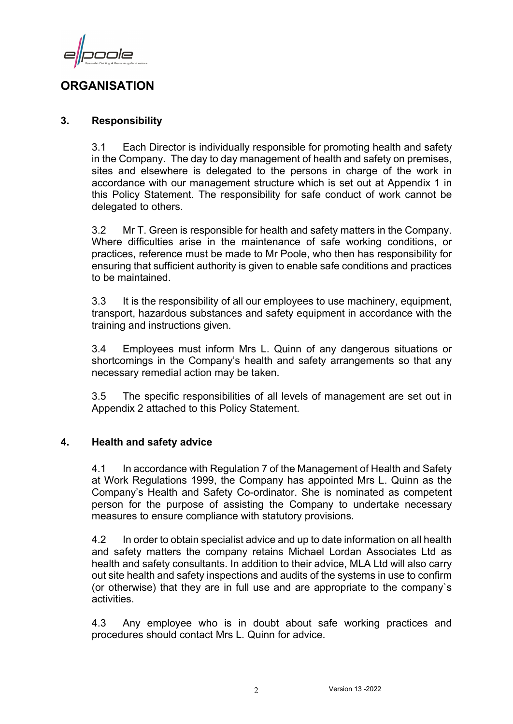ode

## <span id="page-4-0"></span>**ORGANISATION**

#### <span id="page-4-1"></span>**3. Responsibility**

3.1 Each Director is individually responsible for promoting health and safety in the Company. The day to day management of health and safety on premises, sites and elsewhere is delegated to the persons in charge of the work in accordance with our management structure which is set out at Appendix 1 in this Policy Statement. The responsibility for safe conduct of work cannot be delegated to others.

3.2 Mr T. Green is responsible for health and safety matters in the Company. Where difficulties arise in the maintenance of safe working conditions, or practices, reference must be made to Mr Poole, who then has responsibility for ensuring that sufficient authority is given to enable safe conditions and practices to be maintained.

3.3 It is the responsibility of all our employees to use machinery, equipment, transport, hazardous substances and safety equipment in accordance with the training and instructions given.

3.4 Employees must inform Mrs L. Quinn of any dangerous situations or shortcomings in the Company's health and safety arrangements so that any necessary remedial action may be taken.

3.5 The specific responsibilities of all levels of management are set out in Appendix 2 attached to this Policy Statement.

#### <span id="page-4-2"></span>**4. Health and safety advice**

4.1 In accordance with Regulation 7 of the Management of Health and Safety at Work Regulations 1999, the Company has appointed Mrs L. Quinn as the Company's Health and Safety Co-ordinator. She is nominated as competent person for the purpose of assisting the Company to undertake necessary measures to ensure compliance with statutory provisions.

4.2 In order to obtain specialist advice and up to date information on all health and safety matters the company retains Michael Lordan Associates Ltd as health and safety consultants. In addition to their advice, MLA Ltd will also carry out site health and safety inspections and audits of the systems in use to confirm (or otherwise) that they are in full use and are appropriate to the company`s activities.

4.3 Any employee who is in doubt about safe working practices and procedures should contact Mrs L. Quinn for advice.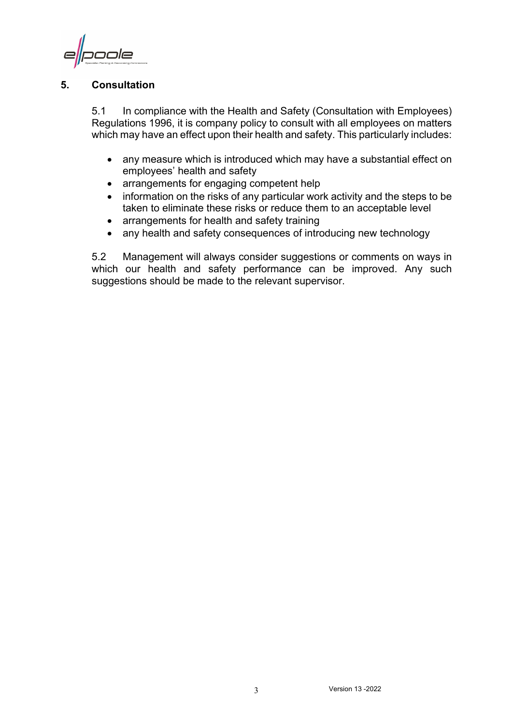oole

#### <span id="page-5-0"></span>**5. Consultation**

5.1 In compliance with the Health and Safety (Consultation with Employees) Regulations 1996, it is company policy to consult with all employees on matters which may have an effect upon their health and safety. This particularly includes:

- any measure which is introduced which may have a substantial effect on employees' health and safety
- arrangements for engaging competent help
- information on the risks of any particular work activity and the steps to be taken to eliminate these risks or reduce them to an acceptable level
- arrangements for health and safety training
- any health and safety consequences of introducing new technology

5.2 Management will always consider suggestions or comments on ways in which our health and safety performance can be improved. Any such suggestions should be made to the relevant supervisor.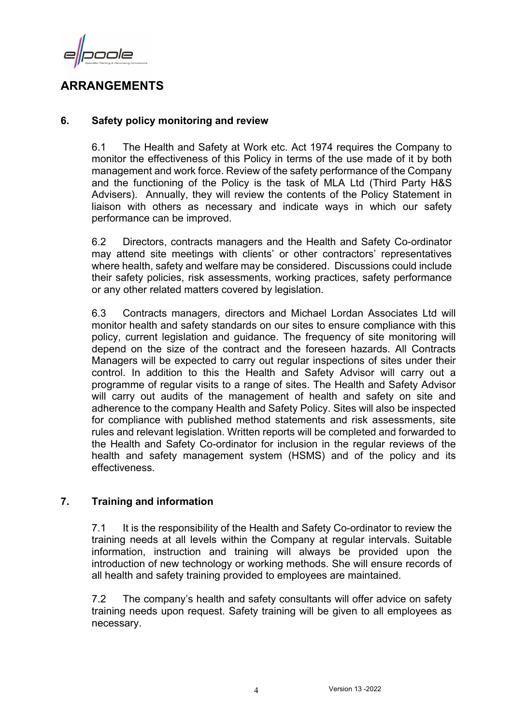oole

## <span id="page-6-0"></span>**ARRANGEMENTS**

#### <span id="page-6-1"></span>**6. Safety policy monitoring and review**

6.1 The Health and Safety at Work etc. Act 1974 requires the Company to monitor the effectiveness of this Policy in terms of the use made of it by both management and work force. Review of the safety performance of the Company and the functioning of the Policy is the task of MLA Ltd (Third Party H&S Advisers). Annually, they will review the contents of the Policy Statement in liaison with others as necessary and indicate ways in which our safety performance can be improved.

6.2 Directors, contracts managers and the Health and Safety Co-ordinator may attend site meetings with clients' or other contractors' representatives where health, safety and welfare may be considered. Discussions could include their safety policies, risk assessments, working practices, safety performance or any other related matters covered by legislation.

6.3 Contracts managers, directors and Michael Lordan Associates Ltd will monitor health and safety standards on our sites to ensure compliance with this policy, current legislation and guidance. The frequency of site monitoring will depend on the size of the contract and the foreseen hazards. All Contracts Managers will be expected to carry out regular inspections of sites under their control. In addition to this the Health and Safety Advisor will carry out a programme of regular visits to a range of sites. The Health and Safety Advisor will carry out audits of the management of health and safety on site and adherence to the company Health and Safety Policy. Sites will also be inspected for compliance with published method statements and risk assessments, site rules and relevant legislation. Written reports will be completed and forwarded to the Health and Safety Co-ordinator for inclusion in the regular reviews of the health and safety management system (HSMS) and of the policy and its effectiveness.

#### <span id="page-6-2"></span>**7. Training and information**

7.1 It is the responsibility of the Health and Safety Co-ordinator to review the training needs at all levels within the Company at regular intervals. Suitable information, instruction and training will always be provided upon the introduction of new technology or working methods. She will ensure records of all health and safety training provided to employees are maintained.

7.2 The company's health and safety consultants will offer advice on safety training needs upon request. Safety training will be given to all employees as necessary.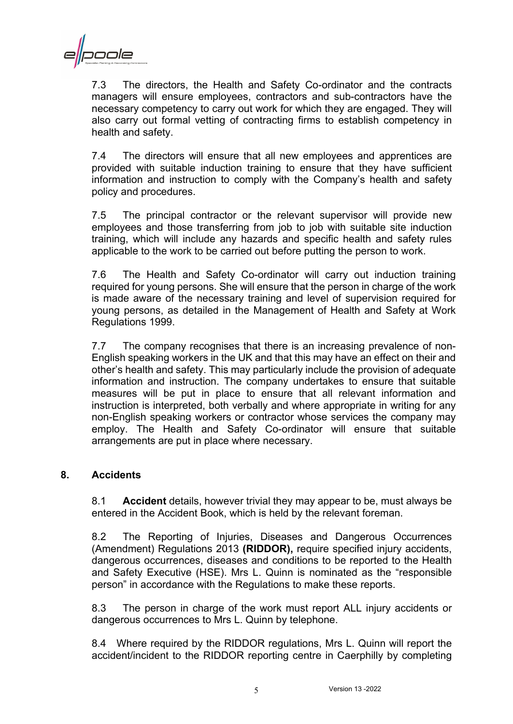cole

7.3 The directors, the Health and Safety Co-ordinator and the contracts managers will ensure employees, contractors and sub-contractors have the necessary competency to carry out work for which they are engaged. They will also carry out formal vetting of contracting firms to establish competency in health and safety.

7.4 The directors will ensure that all new employees and apprentices are provided with suitable induction training to ensure that they have sufficient information and instruction to comply with the Company's health and safety policy and procedures.

7.5 The principal contractor or the relevant supervisor will provide new employees and those transferring from job to job with suitable site induction training, which will include any hazards and specific health and safety rules applicable to the work to be carried out before putting the person to work.

7.6 The Health and Safety Co-ordinator will carry out induction training required for young persons. She will ensure that the person in charge of the work is made aware of the necessary training and level of supervision required for young persons, as detailed in the Management of Health and Safety at Work Regulations 1999.

7.7 The company recognises that there is an increasing prevalence of non-English speaking workers in the UK and that this may have an effect on their and other's health and safety. This may particularly include the provision of adequate information and instruction. The company undertakes to ensure that suitable measures will be put in place to ensure that all relevant information and instruction is interpreted, both verbally and where appropriate in writing for any non-English speaking workers or contractor whose services the company may employ. The Health and Safety Co-ordinator will ensure that suitable arrangements are put in place where necessary.

#### <span id="page-7-0"></span>**8. Accidents**

8.1 **Accident** details, however trivial they may appear to be, must always be entered in the Accident Book, which is held by the relevant foreman.

8.2 The Reporting of Injuries, Diseases and Dangerous Occurrences (Amendment) Regulations 2013 **(RIDDOR),** require specified injury accidents, dangerous occurrences, diseases and conditions to be reported to the Health and Safety Executive (HSE). Mrs L. Quinn is nominated as the "responsible person" in accordance with the Regulations to make these reports.

8.3 The person in charge of the work must report ALL injury accidents or dangerous occurrences to Mrs L. Quinn by telephone.

8.4 Where required by the RIDDOR regulations, Mrs L. Quinn will report the accident/incident to the RIDDOR reporting centre in Caerphilly by completing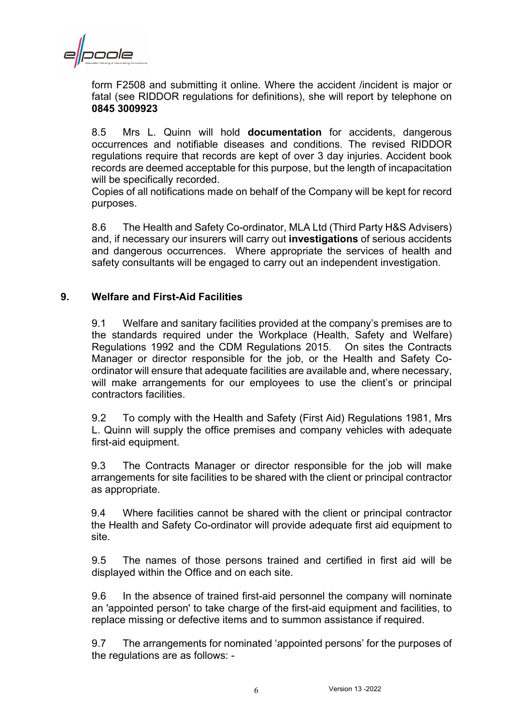cole

form F2508 and submitting it online. Where the accident /incident is major or fatal (see RIDDOR regulations for definitions), she will report by telephone on **0845 3009923**

8.5 Mrs L. Quinn will hold **documentation** for accidents, dangerous occurrences and notifiable diseases and conditions. The revised RIDDOR regulations require that records are kept of over 3 day injuries. Accident book records are deemed acceptable for this purpose, but the length of incapacitation will be specifically recorded.

Copies of all notifications made on behalf of the Company will be kept for record purposes.

8.6 The Health and Safety Co-ordinator, MLA Ltd (Third Party H&S Advisers) and, if necessary our insurers will carry out **investigations** of serious accidents and dangerous occurrences. Where appropriate the services of health and safety consultants will be engaged to carry out an independent investigation.

#### <span id="page-8-0"></span>**9. Welfare and First-Aid Facilities**

9.1 Welfare and sanitary facilities provided at the company's premises are to the standards required under the Workplace (Health, Safety and Welfare) Regulations 1992 and the CDM Regulations 2015. On sites the Contracts Manager or director responsible for the job, or the Health and Safety Coordinator will ensure that adequate facilities are available and, where necessary, will make arrangements for our employees to use the client's or principal contractors facilities.

9.2 To comply with the Health and Safety (First Aid) Regulations 1981, Mrs L. Quinn will supply the office premises and company vehicles with adequate first-aid equipment.

9.3 The Contracts Manager or director responsible for the job will make arrangements for site facilities to be shared with the client or principal contractor as appropriate.

9.4 Where facilities cannot be shared with the client or principal contractor the Health and Safety Co-ordinator will provide adequate first aid equipment to site.

9.5 The names of those persons trained and certified in first aid will be displayed within the Office and on each site.

9.6 In the absence of trained first-aid personnel the company will nominate an 'appointed person' to take charge of the first-aid equipment and facilities, to replace missing or defective items and to summon assistance if required.

9.7 The arrangements for nominated 'appointed persons' for the purposes of the regulations are as follows: -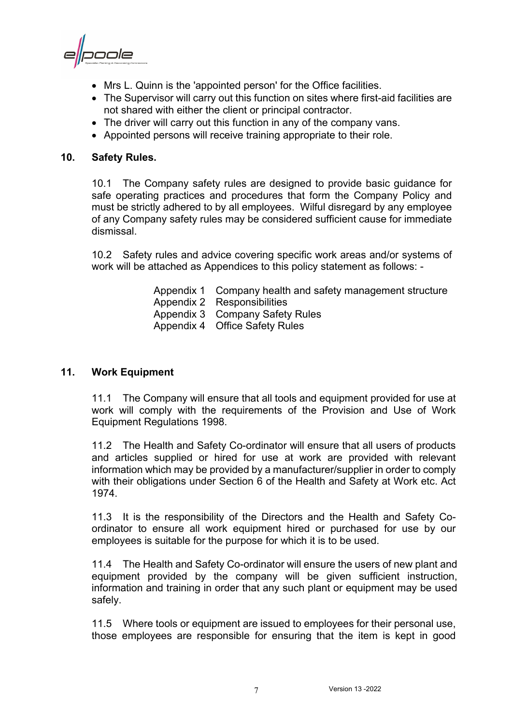poole

- Mrs L. Quinn is the 'appointed person' for the Office facilities.
- The Supervisor will carry out this function on sites where first-aid facilities are not shared with either the client or principal contractor.
- The driver will carry out this function in any of the company vans.
- Appointed persons will receive training appropriate to their role.

#### <span id="page-9-0"></span>**10. Safety Rules.**

10.1 The Company safety rules are designed to provide basic guidance for safe operating practices and procedures that form the Company Policy and must be strictly adhered to by all employees. Wilful disregard by any employee of any Company safety rules may be considered sufficient cause for immediate dismissal.

10.2 Safety rules and advice covering specific work areas and/or systems of work will be attached as Appendices to this policy statement as follows: -

- Appendix 1 Company health and safety management structure Appendix 2 Responsibilities Appendix 3 Company Safety Rules Appendix 4 Office Safety Rules
- 

#### <span id="page-9-1"></span>**11. Work Equipment**

11.1 The Company will ensure that all tools and equipment provided for use at work will comply with the requirements of the Provision and Use of Work Equipment Regulations 1998.

11.2 The Health and Safety Co-ordinator will ensure that all users of products and articles supplied or hired for use at work are provided with relevant information which may be provided by a manufacturer/supplier in order to comply with their obligations under Section 6 of the Health and Safety at Work etc. Act 1974.

11.3 It is the responsibility of the Directors and the Health and Safety Coordinator to ensure all work equipment hired or purchased for use by our employees is suitable for the purpose for which it is to be used.

11.4 The Health and Safety Co-ordinator will ensure the users of new plant and equipment provided by the company will be given sufficient instruction, information and training in order that any such plant or equipment may be used safely.

11.5 Where tools or equipment are issued to employees for their personal use, those employees are responsible for ensuring that the item is kept in good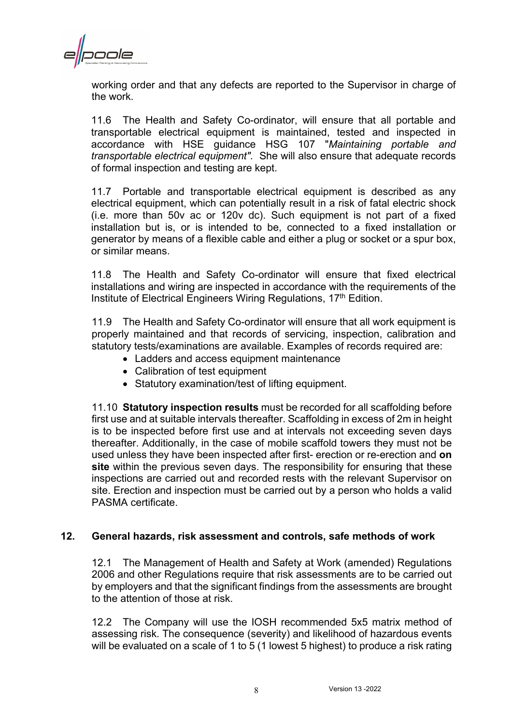oole

working order and that any defects are reported to the Supervisor in charge of the work.

11.6 The Health and Safety Co-ordinator, will ensure that all portable and transportable electrical equipment is maintained, tested and inspected in accordance with HSE guidance HSG 107 "*Maintaining portable and transportable electrical equipment".* She will also ensure that adequate records of formal inspection and testing are kept.

11.7 Portable and transportable electrical equipment is described as any electrical equipment, which can potentially result in a risk of fatal electric shock (i.e. more than 50v ac or 120v dc). Such equipment is not part of a fixed installation but is, or is intended to be, connected to a fixed installation or generator by means of a flexible cable and either a plug or socket or a spur box, or similar means.

11.8 The Health and Safety Co-ordinator will ensure that fixed electrical installations and wiring are inspected in accordance with the requirements of the Institute of Electrical Engineers Wiring Regulations, 17<sup>th</sup> Edition.

11.9 The Health and Safety Co-ordinator will ensure that all work equipment is properly maintained and that records of servicing, inspection, calibration and statutory tests/examinations are available. Examples of records required are:

- Ladders and access equipment maintenance
- Calibration of test equipment
- Statutory examination/test of lifting equipment.

11.10 **Statutory inspection results** must be recorded for all scaffolding before first use and at suitable intervals thereafter. Scaffolding in excess of 2m in height is to be inspected before first use and at intervals not exceeding seven days thereafter. Additionally, in the case of mobile scaffold towers they must not be used unless they have been inspected after first- erection or re-erection and **on site** within the previous seven days. The responsibility for ensuring that these inspections are carried out and recorded rests with the relevant Supervisor on site. Erection and inspection must be carried out by a person who holds a valid PASMA certificate.

#### <span id="page-10-0"></span>**12. General hazards, risk assessment and controls, safe methods of work**

12.1 The Management of Health and Safety at Work (amended) Regulations 2006 and other Regulations require that risk assessments are to be carried out by employers and that the significant findings from the assessments are brought to the attention of those at risk.

12.2 The Company will use the IOSH recommended 5x5 matrix method of assessing risk. The consequence (severity) and likelihood of hazardous events will be evaluated on a scale of 1 to 5 (1 lowest 5 highest) to produce a risk rating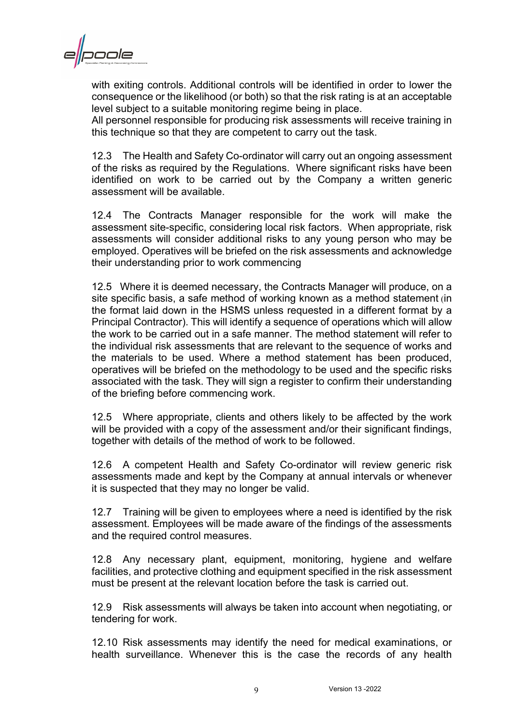

with exiting controls. Additional controls will be identified in order to lower the consequence or the likelihood (or both) so that the risk rating is at an acceptable level subject to a suitable monitoring regime being in place.

All personnel responsible for producing risk assessments will receive training in this technique so that they are competent to carry out the task.

12.3 The Health and Safety Co-ordinator will carry out an ongoing assessment of the risks as required by the Regulations. Where significant risks have been identified on work to be carried out by the Company a written generic assessment will be available.

12.4 The Contracts Manager responsible for the work will make the assessment site-specific, considering local risk factors. When appropriate, risk assessments will consider additional risks to any young person who may be employed. Operatives will be briefed on the risk assessments and acknowledge their understanding prior to work commencing

12.5 Where it is deemed necessary, the Contracts Manager will produce, on a site specific basis, a safe method of working known as a method statement (in the format laid down in the HSMS unless requested in a different format by a Principal Contractor). This will identify a sequence of operations which will allow the work to be carried out in a safe manner. The method statement will refer to the individual risk assessments that are relevant to the sequence of works and the materials to be used. Where a method statement has been produced, operatives will be briefed on the methodology to be used and the specific risks associated with the task. They will sign a register to confirm their understanding of the briefing before commencing work.

12.5 Where appropriate, clients and others likely to be affected by the work will be provided with a copy of the assessment and/or their significant findings, together with details of the method of work to be followed.

12.6 A competent Health and Safety Co-ordinator will review generic risk assessments made and kept by the Company at annual intervals or whenever it is suspected that they may no longer be valid.

12.7 Training will be given to employees where a need is identified by the risk assessment. Employees will be made aware of the findings of the assessments and the required control measures.

12.8 Any necessary plant, equipment, monitoring, hygiene and welfare facilities, and protective clothing and equipment specified in the risk assessment must be present at the relevant location before the task is carried out.

12.9 Risk assessments will always be taken into account when negotiating, or tendering for work.

12.10 Risk assessments may identify the need for medical examinations, or health surveillance. Whenever this is the case the records of any health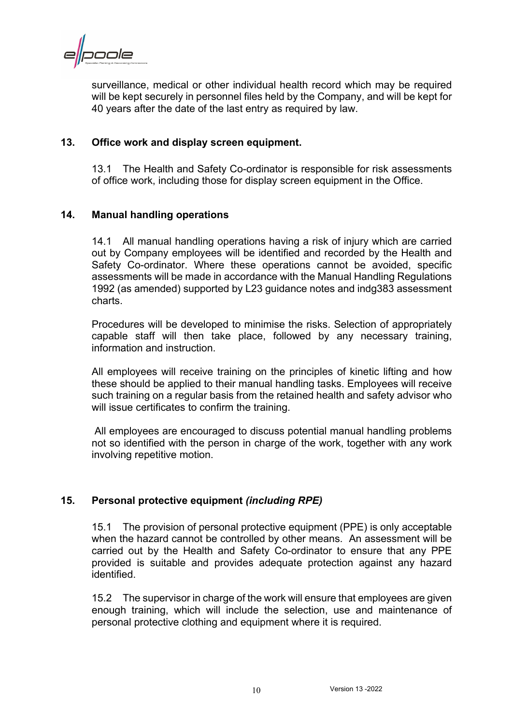cole

surveillance, medical or other individual health record which may be required will be kept securely in personnel files held by the Company, and will be kept for 40 years after the date of the last entry as required by law.

#### <span id="page-12-0"></span>**13. Office work and display screen equipment.**

13.1 The Health and Safety Co-ordinator is responsible for risk assessments of office work, including those for display screen equipment in the Office.

#### <span id="page-12-1"></span>**14. Manual handling operations**

14.1 All manual handling operations having a risk of injury which are carried out by Company employees will be identified and recorded by the Health and Safety Co-ordinator. Where these operations cannot be avoided, specific assessments will be made in accordance with the Manual Handling Regulations 1992 (as amended) supported by L23 guidance notes and indg383 assessment charts.

Procedures will be developed to minimise the risks. Selection of appropriately capable staff will then take place, followed by any necessary training, information and instruction.

All employees will receive training on the principles of kinetic lifting and how these should be applied to their manual handling tasks. Employees will receive such training on a regular basis from the retained health and safety advisor who will issue certificates to confirm the training.

All employees are encouraged to discuss potential manual handling problems not so identified with the person in charge of the work, together with any work involving repetitive motion.

#### <span id="page-12-2"></span>**15. Personal protective equipment** *(including RPE)*

15.1 The provision of personal protective equipment (PPE) is only acceptable when the hazard cannot be controlled by other means. An assessment will be carried out by the Health and Safety Co-ordinator to ensure that any PPE provided is suitable and provides adequate protection against any hazard identified.

15.2 The supervisor in charge of the work will ensure that employees are given enough training, which will include the selection, use and maintenance of personal protective clothing and equipment where it is required.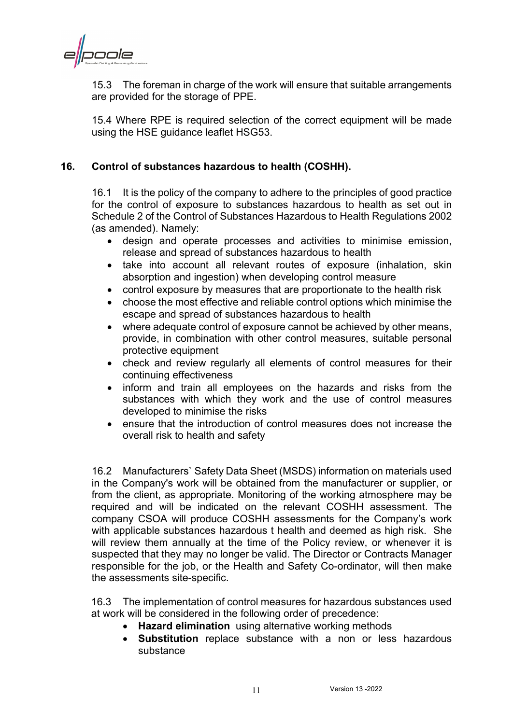naale

15.3 The foreman in charge of the work will ensure that suitable arrangements are provided for the storage of PPE.

15.4 Where RPE is required selection of the correct equipment will be made using the HSE guidance leaflet HSG53.

#### <span id="page-13-0"></span>**16. Control of substances hazardous to health (COSHH).**

16.1 It is the policy of the company to adhere to the principles of good practice for the control of exposure to substances hazardous to health as set out in Schedule 2 of the Control of Substances Hazardous to Health Regulations 2002 (as amended). Namely:

- design and operate processes and activities to minimise emission, release and spread of substances hazardous to health
- take into account all relevant routes of exposure (inhalation, skin absorption and ingestion) when developing control measure
- control exposure by measures that are proportionate to the health risk
- choose the most effective and reliable control options which minimise the escape and spread of substances hazardous to health
- where adequate control of exposure cannot be achieved by other means, provide, in combination with other control measures, suitable personal protective equipment
- check and review regularly all elements of control measures for their continuing effectiveness
- inform and train all employees on the hazards and risks from the substances with which they work and the use of control measures developed to minimise the risks
- ensure that the introduction of control measures does not increase the overall risk to health and safety

16.2 Manufacturers` Safety Data Sheet (MSDS) information on materials used in the Company's work will be obtained from the manufacturer or supplier, or from the client, as appropriate. Monitoring of the working atmosphere may be required and will be indicated on the relevant COSHH assessment. The company CSOA will produce COSHH assessments for the Company's work with applicable substances hazardous t health and deemed as high risk. She will review them annually at the time of the Policy review, or whenever it is suspected that they may no longer be valid. The Director or Contracts Manager responsible for the job, or the Health and Safety Co-ordinator, will then make the assessments site-specific.

16.3 The implementation of control measures for hazardous substances used at work will be considered in the following order of precedence:

- **Hazard elimination** using alternative working methods
- **Substitution** replace substance with a non or less hazardous substance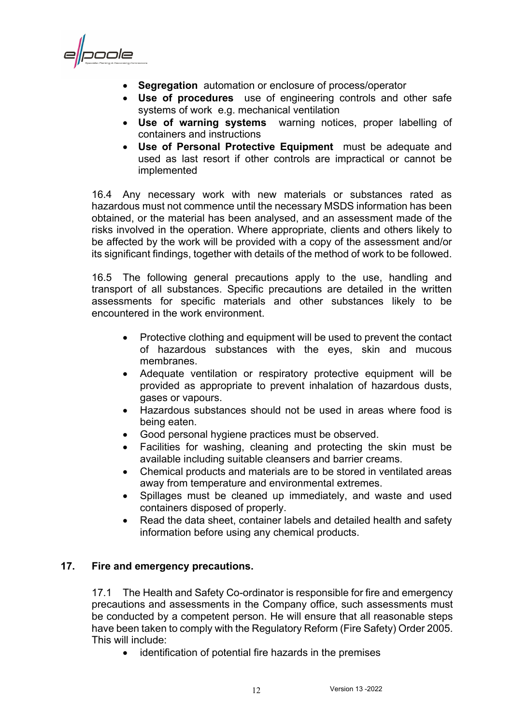poole

- **Segregation** automation or enclosure of process/operator
- **Use of procedures** use of engineering controls and other safe systems of work e.g. mechanical ventilation
- **Use of warning systems** warning notices, proper labelling of containers and instructions
- **Use of Personal Protective Equipment** must be adequate and used as last resort if other controls are impractical or cannot be implemented

16.4 Any necessary work with new materials or substances rated as hazardous must not commence until the necessary MSDS information has been obtained, or the material has been analysed, and an assessment made of the risks involved in the operation. Where appropriate, clients and others likely to be affected by the work will be provided with a copy of the assessment and/or its significant findings, together with details of the method of work to be followed.

16.5 The following general precautions apply to the use, handling and transport of all substances. Specific precautions are detailed in the written assessments for specific materials and other substances likely to be encountered in the work environment.

- Protective clothing and equipment will be used to prevent the contact of hazardous substances with the eyes, skin and mucous membranes.
- Adequate ventilation or respiratory protective equipment will be provided as appropriate to prevent inhalation of hazardous dusts, gases or vapours.
- Hazardous substances should not be used in areas where food is being eaten.
- Good personal hygiene practices must be observed.
- Facilities for washing, cleaning and protecting the skin must be available including suitable cleansers and barrier creams.
- Chemical products and materials are to be stored in ventilated areas away from temperature and environmental extremes.
- Spillages must be cleaned up immediately, and waste and used containers disposed of properly.
- Read the data sheet, container labels and detailed health and safety information before using any chemical products.

#### <span id="page-14-0"></span>**17. Fire and emergency precautions.**

17.1 The Health and Safety Co-ordinator is responsible for fire and emergency precautions and assessments in the Company office, such assessments must be conducted by a competent person. He will ensure that all reasonable steps have been taken to comply with the Regulatory Reform (Fire Safety) Order 2005. This will include:

• identification of potential fire hazards in the premises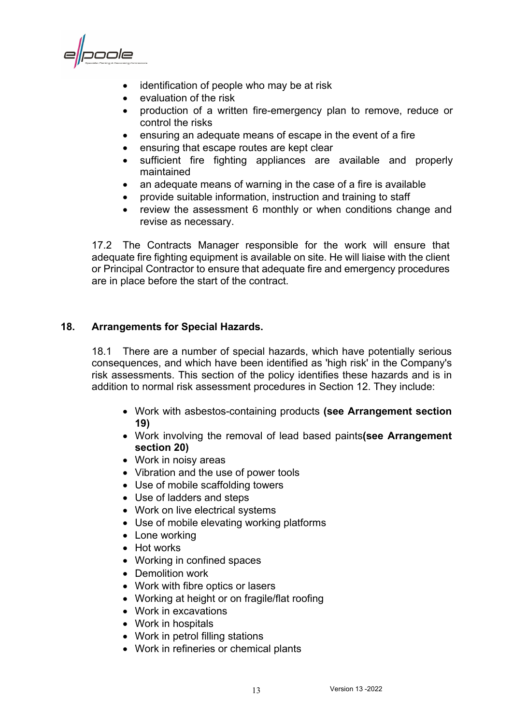poole

- identification of people who may be at risk
- evaluation of the risk
- production of a written fire-emergency plan to remove, reduce or control the risks
- ensuring an adequate means of escape in the event of a fire
- ensuring that escape routes are kept clear
- sufficient fire fighting appliances are available and properly maintained
- an adequate means of warning in the case of a fire is available
- provide suitable information, instruction and training to staff
- review the assessment 6 monthly or when conditions change and revise as necessary.

17.2 The Contracts Manager responsible for the work will ensure that adequate fire fighting equipment is available on site. He will liaise with the client or Principal Contractor to ensure that adequate fire and emergency procedures are in place before the start of the contract.

#### <span id="page-15-0"></span>**18. Arrangements for Special Hazards.**

18.1 There are a number of special hazards, which have potentially serious consequences, and which have been identified as 'high risk' in the Company's risk assessments. This section of the policy identifies these hazards and is in addition to normal risk assessment procedures in Section 12. They include:

- Work with asbestos-containing products **(see Arrangement section 19)**
- Work involving the removal of lead based paints**(see Arrangement section 20)**
- Work in noisy areas
- Vibration and the use of power tools
- Use of mobile scaffolding towers
- Use of ladders and steps
- Work on live electrical systems
- Use of mobile elevating working platforms
- Lone working
- Hot works
- Working in confined spaces
- Demolition work
- Work with fibre optics or lasers
- Working at height or on fragile/flat roofing
- Work in excavations
- Work in hospitals
- Work in petrol filling stations
- Work in refineries or chemical plants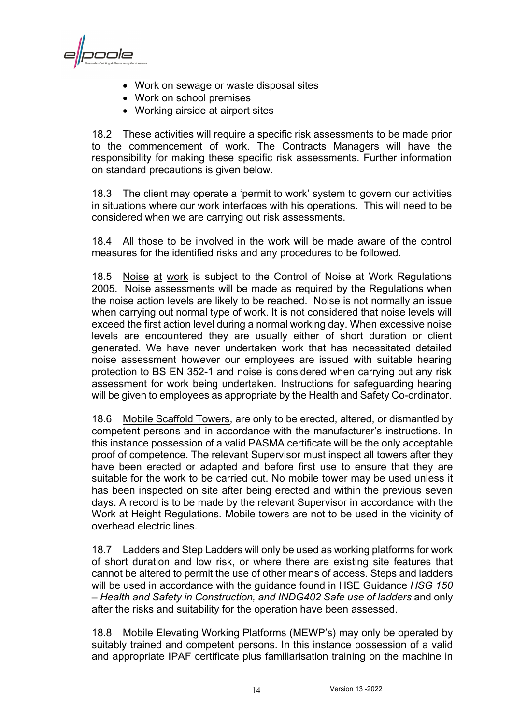poole

- Work on sewage or waste disposal sites
- Work on school premises
- Working airside at airport sites

18.2 These activities will require a specific risk assessments to be made prior to the commencement of work. The Contracts Managers will have the responsibility for making these specific risk assessments. Further information on standard precautions is given below.

18.3 The client may operate a 'permit to work' system to govern our activities in situations where our work interfaces with his operations. This will need to be considered when we are carrying out risk assessments.

18.4 All those to be involved in the work will be made aware of the control measures for the identified risks and any procedures to be followed.

18.5 Noise at work is subject to the Control of Noise at Work Regulations 2005. Noise assessments will be made as required by the Regulations when the noise action levels are likely to be reached. Noise is not normally an issue when carrying out normal type of work. It is not considered that noise levels will exceed the first action level during a normal working day. When excessive noise levels are encountered they are usually either of short duration or client generated. We have never undertaken work that has necessitated detailed noise assessment however our employees are issued with suitable hearing protection to BS EN 352-1 and noise is considered when carrying out any risk assessment for work being undertaken. Instructions for safeguarding hearing will be given to employees as appropriate by the Health and Safety Co-ordinator.

18.6 Mobile Scaffold Towers, are only to be erected, altered, or dismantled by competent persons and in accordance with the manufacturer's instructions. In this instance possession of a valid PASMA certificate will be the only acceptable proof of competence. The relevant Supervisor must inspect all towers after they have been erected or adapted and before first use to ensure that they are suitable for the work to be carried out. No mobile tower may be used unless it has been inspected on site after being erected and within the previous seven days. A record is to be made by the relevant Supervisor in accordance with the Work at Height Regulations. Mobile towers are not to be used in the vicinity of overhead electric lines.

18.7 Ladders and Step Ladders will only be used as working platforms for work of short duration and low risk, or where there are existing site features that cannot be altered to permit the use of other means of access. Steps and ladders will be used in accordance with the guidance found in HSE Guidance *HSG 150 – Health and Safety in Construction, and INDG402 Safe use of ladders* and only after the risks and suitability for the operation have been assessed.

18.8 Mobile Elevating Working Platforms (MEWP's) may only be operated by suitably trained and competent persons. In this instance possession of a valid and appropriate IPAF certificate plus familiarisation training on the machine in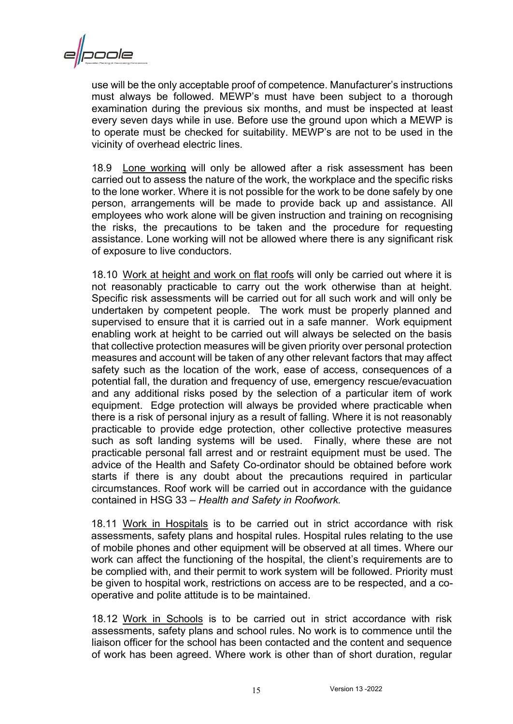

use will be the only acceptable proof of competence. Manufacturer's instructions must always be followed. MEWP's must have been subject to a thorough examination during the previous six months, and must be inspected at least every seven days while in use. Before use the ground upon which a MEWP is to operate must be checked for suitability. MEWP's are not to be used in the vicinity of overhead electric lines.

18.9 Lone working will only be allowed after a risk assessment has been carried out to assess the nature of the work, the workplace and the specific risks to the lone worker. Where it is not possible for the work to be done safely by one person, arrangements will be made to provide back up and assistance. All employees who work alone will be given instruction and training on recognising the risks, the precautions to be taken and the procedure for requesting assistance. Lone working will not be allowed where there is any significant risk of exposure to live conductors.

18.10 Work at height and work on flat roofs will only be carried out where it is not reasonably practicable to carry out the work otherwise than at height. Specific risk assessments will be carried out for all such work and will only be undertaken by competent people. The work must be properly planned and supervised to ensure that it is carried out in a safe manner. Work equipment enabling work at height to be carried out will always be selected on the basis that collective protection measures will be given priority over personal protection measures and account will be taken of any other relevant factors that may affect safety such as the location of the work, ease of access, consequences of a potential fall, the duration and frequency of use, emergency rescue/evacuation and any additional risks posed by the selection of a particular item of work equipment. Edge protection will always be provided where practicable when there is a risk of personal injury as a result of falling. Where it is not reasonably practicable to provide edge protection, other collective protective measures such as soft landing systems will be used. Finally, where these are not practicable personal fall arrest and or restraint equipment must be used. The advice of the Health and Safety Co-ordinator should be obtained before work starts if there is any doubt about the precautions required in particular circumstances. Roof work will be carried out in accordance with the guidance contained in HSG 33 – *Health and Safety in Roofwork.*

18.11 Work in Hospitals is to be carried out in strict accordance with risk assessments, safety plans and hospital rules. Hospital rules relating to the use of mobile phones and other equipment will be observed at all times. Where our work can affect the functioning of the hospital, the client's requirements are to be complied with, and their permit to work system will be followed. Priority must be given to hospital work, restrictions on access are to be respected, and a cooperative and polite attitude is to be maintained.

18.12 Work in Schools is to be carried out in strict accordance with risk assessments, safety plans and school rules. No work is to commence until the liaison officer for the school has been contacted and the content and sequence of work has been agreed. Where work is other than of short duration, regular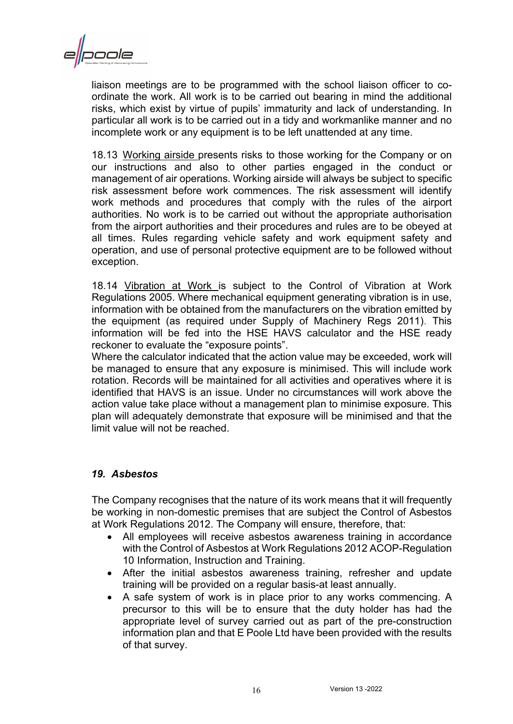

liaison meetings are to be programmed with the school liaison officer to coordinate the work. All work is to be carried out bearing in mind the additional risks, which exist by virtue of pupils' immaturity and lack of understanding. In particular all work is to be carried out in a tidy and workmanlike manner and no incomplete work or any equipment is to be left unattended at any time.

18.13 Working airside presents risks to those working for the Company or on our instructions and also to other parties engaged in the conduct or management of air operations. Working airside will always be subject to specific risk assessment before work commences. The risk assessment will identify work methods and procedures that comply with the rules of the airport authorities. No work is to be carried out without the appropriate authorisation from the airport authorities and their procedures and rules are to be obeyed at all times. Rules regarding vehicle safety and work equipment safety and operation, and use of personal protective equipment are to be followed without exception.

18.14 Vibration at Work is subject to the Control of Vibration at Work Regulations 2005. Where mechanical equipment generating vibration is in use, information with be obtained from the manufacturers on the vibration emitted by the equipment (as required under Supply of Machinery Regs 2011). This information will be fed into the HSE HAVS calculator and the HSE ready reckoner to evaluate the "exposure points".

Where the calculator indicated that the action value may be exceeded, work will be managed to ensure that any exposure is minimised. This will include work rotation. Records will be maintained for all activities and operatives where it is identified that HAVS is an issue. Under no circumstances will work above the action value take place without a management plan to minimise exposure. This plan will adequately demonstrate that exposure will be minimised and that the limit value will not be reached.

#### <span id="page-18-0"></span>*19. Asbestos*

The Company recognises that the nature of its work means that it will frequently be working in non-domestic premises that are subject the Control of Asbestos at Work Regulations 2012. The Company will ensure, therefore, that:

- All employees will receive asbestos awareness training in accordance with the Control of Asbestos at Work Regulations 2012 ACOP-Regulation 10 Information, Instruction and Training.
- After the initial asbestos awareness training, refresher and update training will be provided on a regular basis-at least annually.
- A safe system of work is in place prior to any works commencing. A precursor to this will be to ensure that the duty holder has had the appropriate level of survey carried out as part of the pre-construction information plan and that E Poole Ltd have been provided with the results of that survey.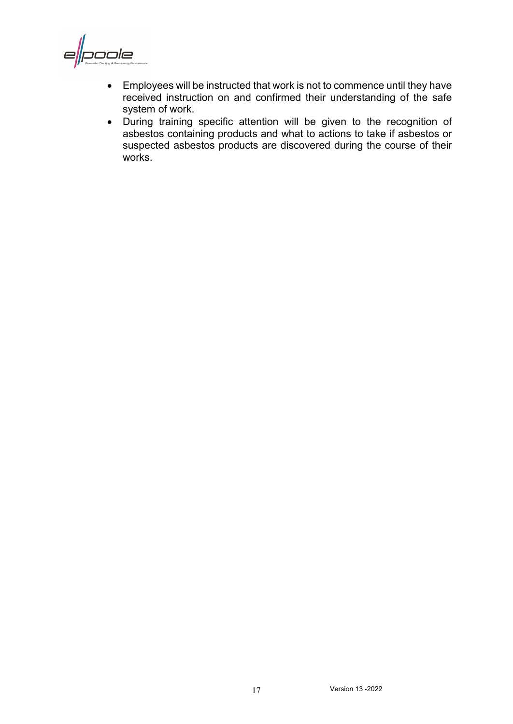poole E

- Employees will be instructed that work is not to commence until they have received instruction on and confirmed their understanding of the safe system of work.
- During training specific attention will be given to the recognition of asbestos containing products and what to actions to take if asbestos or suspected asbestos products are discovered during the course of their works.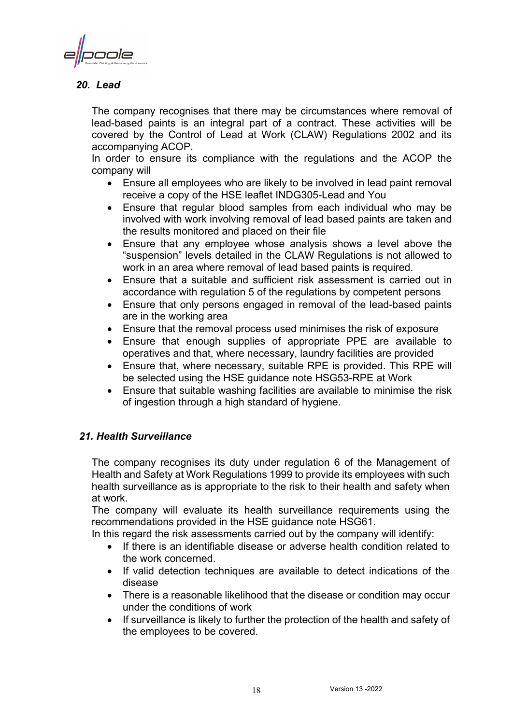ode

#### <span id="page-20-0"></span>*20. Lead*

The company recognises that there may be circumstances where removal of lead-based paints is an integral part of a contract. These activities will be covered by the Control of Lead at Work (CLAW) Regulations 2002 and its accompanying ACOP.

In order to ensure its compliance with the regulations and the ACOP the company will

- Ensure all employees who are likely to be involved in lead paint removal receive a copy of the HSE leaflet INDG305-Lead and You
- Ensure that regular blood samples from each individual who may be involved with work involving removal of lead based paints are taken and the results monitored and placed on their file
- Ensure that any employee whose analysis shows a level above the "suspension" levels detailed in the CLAW Regulations is not allowed to work in an area where removal of lead based paints is required.
- Ensure that a suitable and sufficient risk assessment is carried out in accordance with regulation 5 of the regulations by competent persons
- Ensure that only persons engaged in removal of the lead-based paints are in the working area
- Ensure that the removal process used minimises the risk of exposure
- Ensure that enough supplies of appropriate PPE are available to operatives and that, where necessary, laundry facilities are provided
- Ensure that, where necessary, suitable RPE is provided. This RPE will be selected using the HSE guidance note HSG53-RPE at Work
- Ensure that suitable washing facilities are available to minimise the risk of ingestion through a high standard of hygiene.

#### <span id="page-20-1"></span>*21. Health Surveillance*

The company recognises its duty under regulation 6 of the Management of Health and Safety at Work Regulations 1999 to provide its employees with such health surveillance as is appropriate to the risk to their health and safety when at work.

The company will evaluate its health surveillance requirements using the recommendations provided in the HSE guidance note HSG61.

In this regard the risk assessments carried out by the company will identify:

- If there is an identifiable disease or adverse health condition related to the work concerned.
- If valid detection techniques are available to detect indications of the disease
- There is a reasonable likelihood that the disease or condition may occur under the conditions of work
- If surveillance is likely to further the protection of the health and safety of the employees to be covered.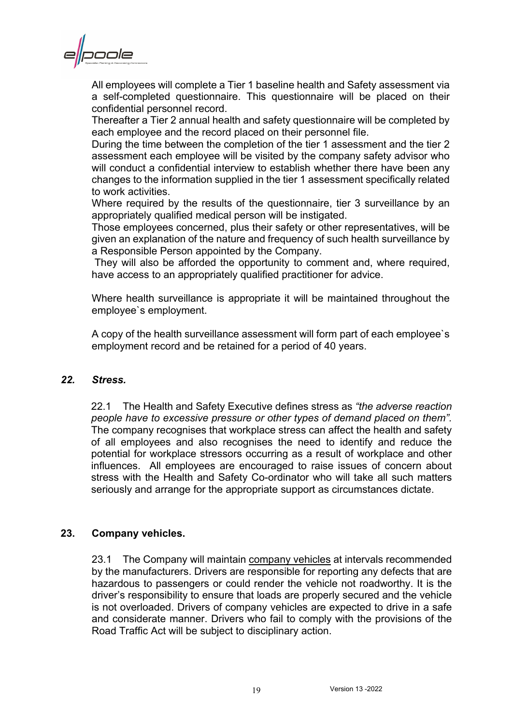poole

All employees will complete a Tier 1 baseline health and Safety assessment via a self-completed questionnaire. This questionnaire will be placed on their confidential personnel record.

Thereafter a Tier 2 annual health and safety questionnaire will be completed by each employee and the record placed on their personnel file.

During the time between the completion of the tier 1 assessment and the tier 2 assessment each employee will be visited by the company safety advisor who will conduct a confidential interview to establish whether there have been any changes to the information supplied in the tier 1 assessment specifically related to work activities.

Where required by the results of the questionnaire, tier 3 surveillance by an appropriately qualified medical person will be instigated.

Those employees concerned, plus their safety or other representatives, will be given an explanation of the nature and frequency of such health surveillance by a Responsible Person appointed by the Company.

They will also be afforded the opportunity to comment and, where required, have access to an appropriately qualified practitioner for advice.

Where health surveillance is appropriate it will be maintained throughout the employee`s employment.

A copy of the health surveillance assessment will form part of each employee`s employment record and be retained for a period of 40 years.

#### <span id="page-21-0"></span>*22. Stress.*

22.1 The Health and Safety Executive defines stress as *"the adverse reaction people have to excessive pressure or other types of demand placed on them".* The company recognises that workplace stress can affect the health and safety of all employees and also recognises the need to identify and reduce the potential for workplace stressors occurring as a result of workplace and other influences. All employees are encouraged to raise issues of concern about stress with the Health and Safety Co-ordinator who will take all such matters seriously and arrange for the appropriate support as circumstances dictate.

#### <span id="page-21-1"></span>**23. Company vehicles.**

23.1 The Company will maintain company vehicles at intervals recommended by the manufacturers. Drivers are responsible for reporting any defects that are hazardous to passengers or could render the vehicle not roadworthy. It is the driver's responsibility to ensure that loads are properly secured and the vehicle is not overloaded. Drivers of company vehicles are expected to drive in a safe and considerate manner. Drivers who fail to comply with the provisions of the Road Traffic Act will be subject to disciplinary action.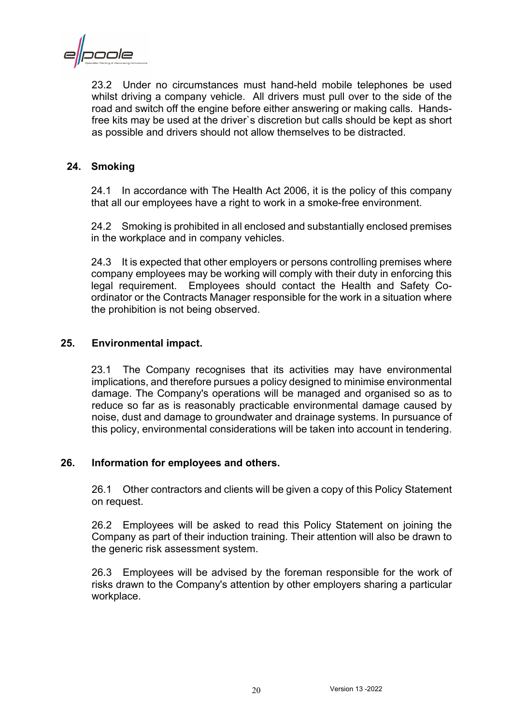cole

23.2 Under no circumstances must hand-held mobile telephones be used whilst driving a company vehicle. All drivers must pull over to the side of the road and switch off the engine before either answering or making calls. Handsfree kits may be used at the driver`s discretion but calls should be kept as short as possible and drivers should not allow themselves to be distracted.

#### <span id="page-22-0"></span>**24. Smoking**

24.1 In accordance with The Health Act 2006, it is the policy of this company that all our employees have a right to work in a smoke-free environment.

24.2 Smoking is prohibited in all enclosed and substantially enclosed premises in the workplace and in company vehicles.

24.3 It is expected that other employers or persons controlling premises where company employees may be working will comply with their duty in enforcing this legal requirement. Employees should contact the Health and Safety Coordinator or the Contracts Manager responsible for the work in a situation where the prohibition is not being observed.

#### <span id="page-22-1"></span>**25. Environmental impact.**

23.1 The Company recognises that its activities may have environmental implications, and therefore pursues a policy designed to minimise environmental damage. The Company's operations will be managed and organised so as to reduce so far as is reasonably practicable environmental damage caused by noise, dust and damage to groundwater and drainage systems. In pursuance of this policy, environmental considerations will be taken into account in tendering.

#### <span id="page-22-2"></span>**26. Information for employees and others.**

26.1 Other contractors and clients will be given a copy of this Policy Statement on request.

26.2 Employees will be asked to read this Policy Statement on joining the Company as part of their induction training. Their attention will also be drawn to the generic risk assessment system.

26.3 Employees will be advised by the foreman responsible for the work of risks drawn to the Company's attention by other employers sharing a particular workplace.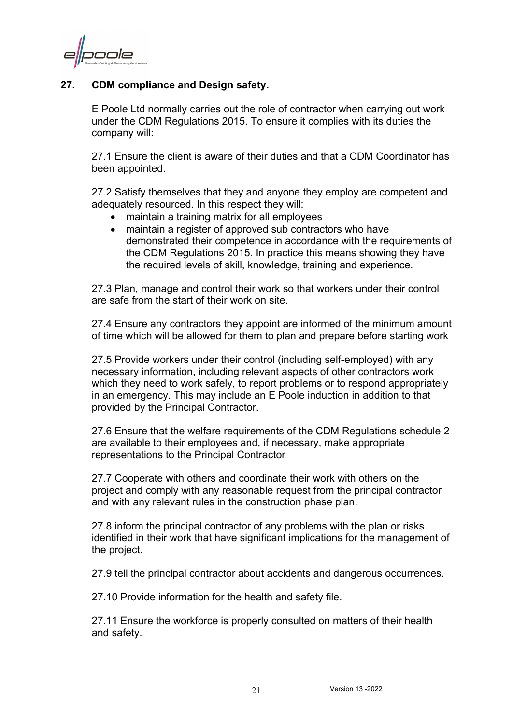ode

#### <span id="page-23-0"></span>**27. CDM compliance and Design safety.**

E Poole Ltd normally carries out the role of contractor when carrying out work under the CDM Regulations 2015. To ensure it complies with its duties the company will:

27.1 Ensure the client is aware of their duties and that a CDM Coordinator has been appointed.

27.2 Satisfy themselves that they and anyone they employ are competent and adequately resourced. In this respect they will:

- maintain a training matrix for all employees
- maintain a register of approved sub contractors who have demonstrated their competence in accordance with the requirements of the CDM Regulations 2015. In practice this means showing they have the required levels of skill, knowledge, training and experience.

27.3 Plan, manage and control their work so that workers under their control are safe from the start of their work on site.

27.4 Ensure any contractors they appoint are informed of the minimum amount of time which will be allowed for them to plan and prepare before starting work

27.5 Provide workers under their control (including self-employed) with any necessary information, including relevant aspects of other contractors work which they need to work safely, to report problems or to respond appropriately in an emergency. This may include an E Poole induction in addition to that provided by the Principal Contractor.

27.6 Ensure that the welfare requirements of the CDM Regulations schedule 2 are available to their employees and, if necessary, make appropriate representations to the Principal Contractor

27.7 Cooperate with others and coordinate their work with others on the project and comply with any reasonable request from the principal contractor and with any relevant rules in the construction phase plan.

27.8 inform the principal contractor of any problems with the plan or risks identified in their work that have significant implications for the management of the project.

27.9 tell the principal contractor about accidents and dangerous occurrences.

27.10 Provide information for the health and safety file.

27.11 Ensure the workforce is properly consulted on matters of their health and safety.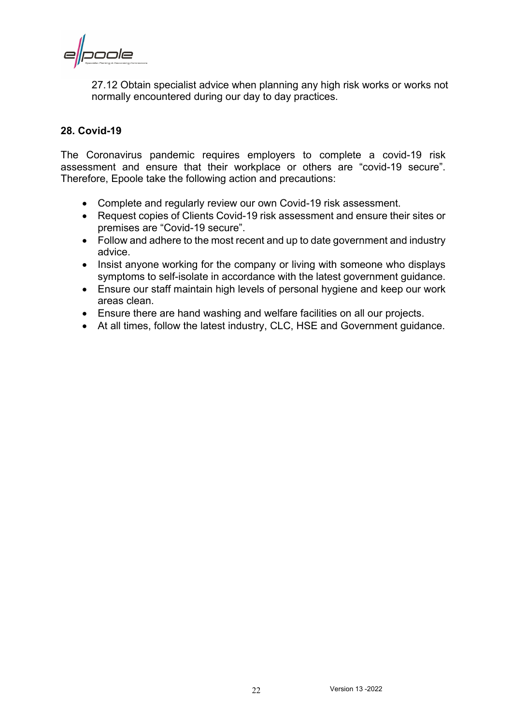pole

27.12 Obtain specialist advice when planning any high risk works or works not normally encountered during our day to day practices.

#### <span id="page-24-0"></span>**28. Covid-19**

The Coronavirus pandemic requires employers to complete a covid-19 risk assessment and ensure that their workplace or others are "covid-19 secure". Therefore, Epoole take the following action and precautions:

- Complete and regularly review our own Covid-19 risk assessment.
- Request copies of Clients Covid-19 risk assessment and ensure their sites or premises are "Covid-19 secure".
- Follow and adhere to the most recent and up to date government and industry advice.
- Insist anyone working for the company or living with someone who displays symptoms to self-isolate in accordance with the latest government guidance.
- Ensure our staff maintain high levels of personal hygiene and keep our work areas clean.
- Ensure there are hand washing and welfare facilities on all our projects.
- At all times, follow the latest industry, CLC, HSE and Government guidance.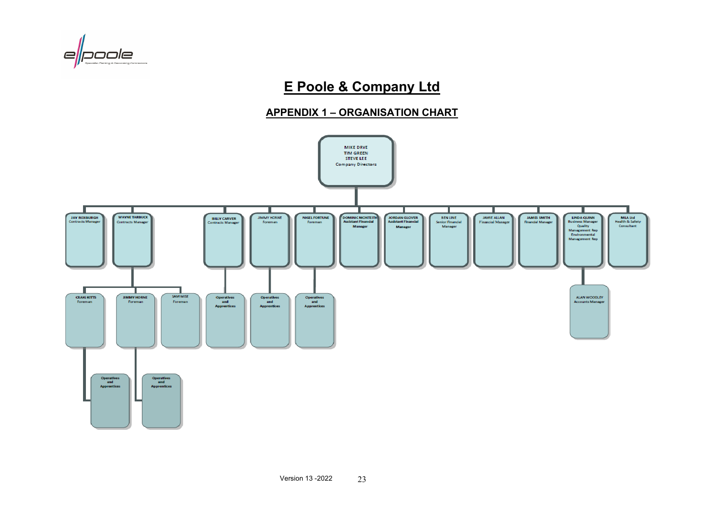

# **E Poole & Company Ltd**

#### **APPENDIX 1 – ORGANISATION CHART**

<span id="page-25-0"></span>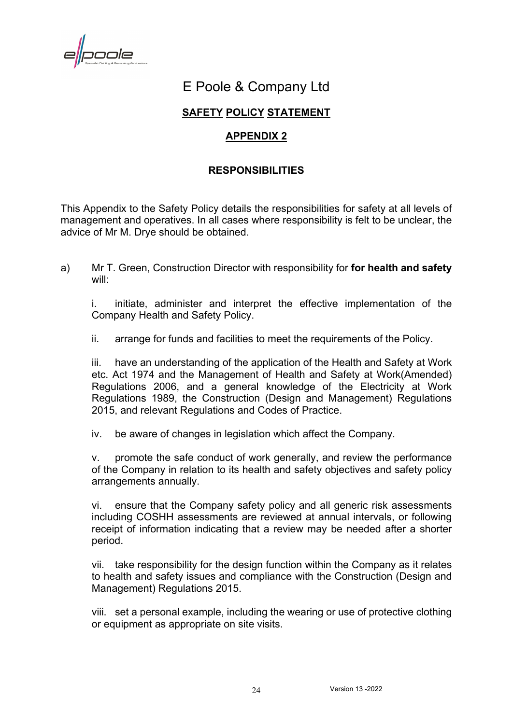poole

# E Poole & Company Ltd

#### **SAFETY POLICY STATEMENT**

#### **APPENDIX 2**

#### **RESPONSIBILITIES**

<span id="page-26-1"></span><span id="page-26-0"></span>This Appendix to the Safety Policy details the responsibilities for safety at all levels of management and operatives. In all cases where responsibility is felt to be unclear, the advice of Mr M. Drye should be obtained.

a) Mr T. Green, Construction Director with responsibility for **for health and safety** will:

i. initiate, administer and interpret the effective implementation of the Company Health and Safety Policy.

ii. arrange for funds and facilities to meet the requirements of the Policy.

iii. have an understanding of the application of the Health and Safety at Work etc. Act 1974 and the Management of Health and Safety at Work(Amended) Regulations 2006, and a general knowledge of the Electricity at Work Regulations 1989, the Construction (Design and Management) Regulations 2015, and relevant Regulations and Codes of Practice.

iv. be aware of changes in legislation which affect the Company.

v. promote the safe conduct of work generally, and review the performance of the Company in relation to its health and safety objectives and safety policy arrangements annually.

vi. ensure that the Company safety policy and all generic risk assessments including COSHH assessments are reviewed at annual intervals, or following receipt of information indicating that a review may be needed after a shorter period.

vii. take responsibility for the design function within the Company as it relates to health and safety issues and compliance with the Construction (Design and Management) Regulations 2015.

viii. set a personal example, including the wearing or use of protective clothing or equipment as appropriate on site visits.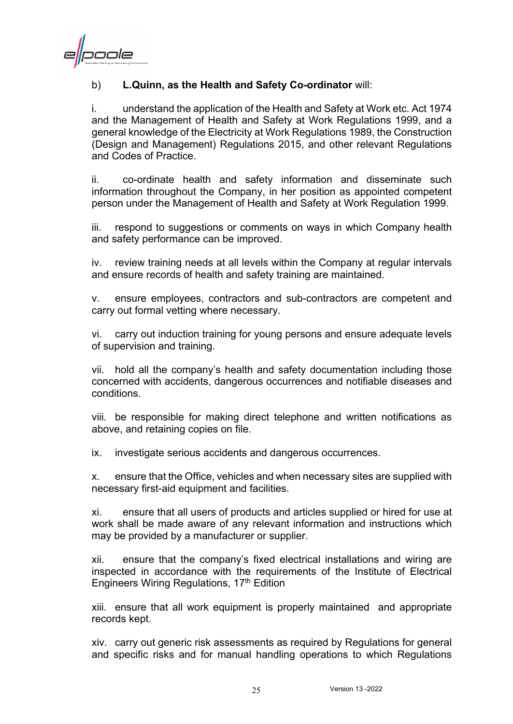naale

#### b) **L.Quinn, as the Health and Safety Co-ordinator** will:

i. understand the application of the Health and Safety at Work etc. Act 1974 and the Management of Health and Safety at Work Regulations 1999, and a general knowledge of the Electricity at Work Regulations 1989, the Construction (Design and Management) Regulations 2015, and other relevant Regulations and Codes of Practice.

ii. co-ordinate health and safety information and disseminate such information throughout the Company, in her position as appointed competent person under the Management of Health and Safety at Work Regulation 1999.

iii. respond to suggestions or comments on ways in which Company health and safety performance can be improved.

iv. review training needs at all levels within the Company at regular intervals and ensure records of health and safety training are maintained.

v. ensure employees, contractors and sub-contractors are competent and carry out formal vetting where necessary.

vi. carry out induction training for young persons and ensure adequate levels of supervision and training.

vii. hold all the company's health and safety documentation including those concerned with accidents, dangerous occurrences and notifiable diseases and conditions.

viii. be responsible for making direct telephone and written notifications as above, and retaining copies on file.

ix. investigate serious accidents and dangerous occurrences.

x. ensure that the Office, vehicles and when necessary sites are supplied with necessary first-aid equipment and facilities.

xi. ensure that all users of products and articles supplied or hired for use at work shall be made aware of any relevant information and instructions which may be provided by a manufacturer or supplier.

xii. ensure that the company's fixed electrical installations and wiring are inspected in accordance with the requirements of the Institute of Electrical Engineers Wiring Regulations, 17th Edition

xiii. ensure that all work equipment is properly maintained and appropriate records kept.

xiv. carry out generic risk assessments as required by Regulations for general and specific risks and for manual handling operations to which Regulations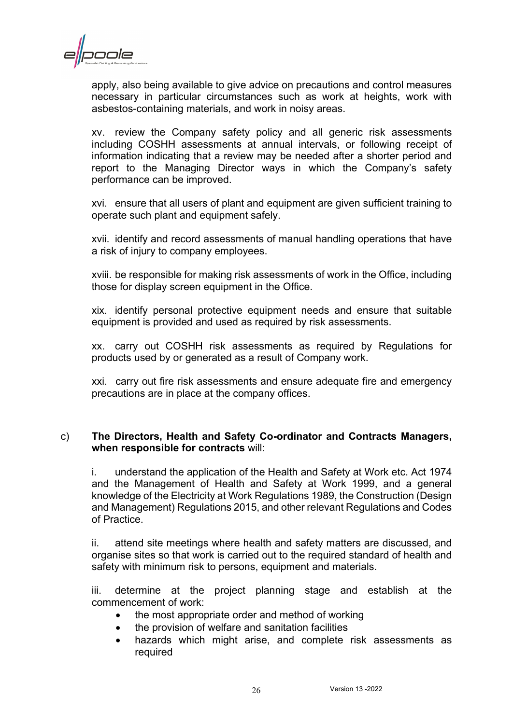

apply, also being available to give advice on precautions and control measures necessary in particular circumstances such as work at heights, work with asbestos-containing materials, and work in noisy areas.

xv. review the Company safety policy and all generic risk assessments including COSHH assessments at annual intervals, or following receipt of information indicating that a review may be needed after a shorter period and report to the Managing Director ways in which the Company's safety performance can be improved.

xvi. ensure that all users of plant and equipment are given sufficient training to operate such plant and equipment safely.

xvii. identify and record assessments of manual handling operations that have a risk of injury to company employees.

xviii. be responsible for making risk assessments of work in the Office, including those for display screen equipment in the Office.

xix. identify personal protective equipment needs and ensure that suitable equipment is provided and used as required by risk assessments.

xx. carry out COSHH risk assessments as required by Regulations for products used by or generated as a result of Company work.

xxi. carry out fire risk assessments and ensure adequate fire and emergency precautions are in place at the company offices.

#### c) **The Directors, Health and Safety Co-ordinator and Contracts Managers, when responsible for contracts** will:

i. understand the application of the Health and Safety at Work etc. Act 1974 and the Management of Health and Safety at Work 1999, and a general knowledge of the Electricity at Work Regulations 1989, the Construction (Design and Management) Regulations 2015, and other relevant Regulations and Codes of Practice.

ii. attend site meetings where health and safety matters are discussed, and organise sites so that work is carried out to the required standard of health and safety with minimum risk to persons, equipment and materials.

iii. determine at the project planning stage and establish at the commencement of work:

- the most appropriate order and method of working
- the provision of welfare and sanitation facilities
- hazards which might arise, and complete risk assessments as required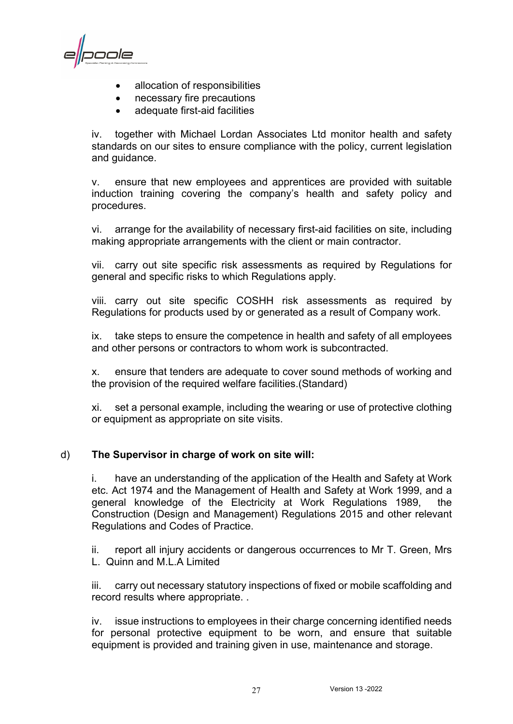poole

- allocation of responsibilities
- necessary fire precautions
- adequate first-aid facilities

iv. together with Michael Lordan Associates Ltd monitor health and safety standards on our sites to ensure compliance with the policy, current legislation and guidance.

v. ensure that new employees and apprentices are provided with suitable induction training covering the company's health and safety policy and procedures.

vi. arrange for the availability of necessary first-aid facilities on site, including making appropriate arrangements with the client or main contractor.

vii. carry out site specific risk assessments as required by Regulations for general and specific risks to which Regulations apply.

viii. carry out site specific COSHH risk assessments as required by Regulations for products used by or generated as a result of Company work.

ix. take steps to ensure the competence in health and safety of all employees and other persons or contractors to whom work is subcontracted.

x. ensure that tenders are adequate to cover sound methods of working and the provision of the required welfare facilities.(Standard)

xi. set a personal example, including the wearing or use of protective clothing or equipment as appropriate on site visits.

#### d) **The Supervisor in charge of work on site will:**

i. have an understanding of the application of the Health and Safety at Work etc. Act 1974 and the Management of Health and Safety at Work 1999, and a general knowledge of the Electricity at Work Regulations 1989, the Construction (Design and Management) Regulations 2015 and other relevant Regulations and Codes of Practice.

ii. report all injury accidents or dangerous occurrences to Mr T. Green, Mrs L. Quinn and M.L.A Limited

iii. carry out necessary statutory inspections of fixed or mobile scaffolding and record results where appropriate. .

iv. issue instructions to employees in their charge concerning identified needs for personal protective equipment to be worn, and ensure that suitable equipment is provided and training given in use, maintenance and storage.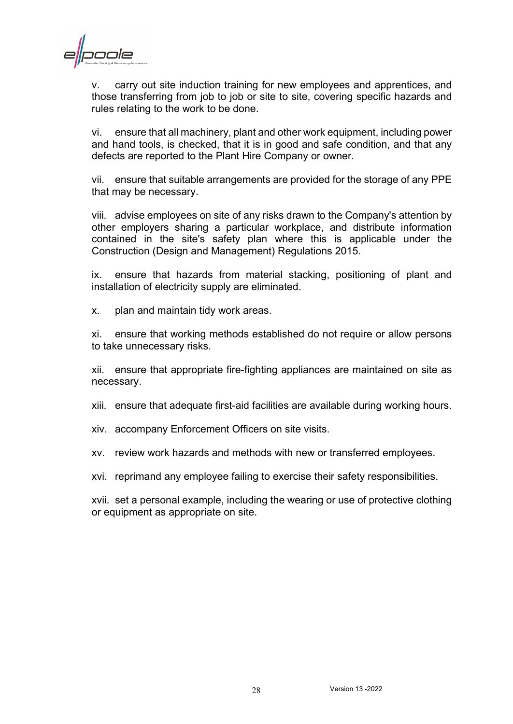poole

v. carry out site induction training for new employees and apprentices, and those transferring from job to job or site to site, covering specific hazards and rules relating to the work to be done.

vi. ensure that all machinery, plant and other work equipment, including power and hand tools, is checked, that it is in good and safe condition, and that any defects are reported to the Plant Hire Company or owner.

vii. ensure that suitable arrangements are provided for the storage of any PPE that may be necessary.

viii. advise employees on site of any risks drawn to the Company's attention by other employers sharing a particular workplace, and distribute information contained in the site's safety plan where this is applicable under the Construction (Design and Management) Regulations 2015.

ix. ensure that hazards from material stacking, positioning of plant and installation of electricity supply are eliminated.

x. plan and maintain tidy work areas.

xi. ensure that working methods established do not require or allow persons to take unnecessary risks.

xii. ensure that appropriate fire-fighting appliances are maintained on site as necessary.

xiii. ensure that adequate first-aid facilities are available during working hours.

xiv. accompany Enforcement Officers on site visits.

xv. review work hazards and methods with new or transferred employees.

xvi. reprimand any employee failing to exercise their safety responsibilities.

xvii. set a personal example, including the wearing or use of protective clothing or equipment as appropriate on site.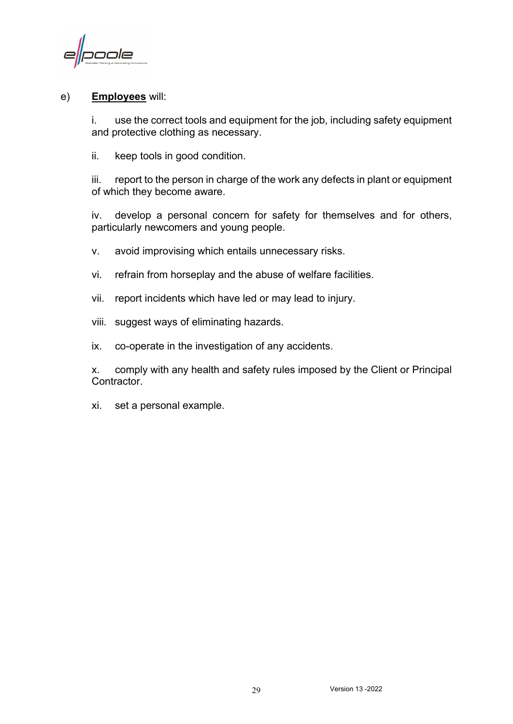poole

#### e) **Employees** will:

i. use the correct tools and equipment for the job, including safety equipment and protective clothing as necessary.

ii. keep tools in good condition.

iii. report to the person in charge of the work any defects in plant or equipment of which they become aware.

iv. develop a personal concern for safety for themselves and for others, particularly newcomers and young people.

- v. avoid improvising which entails unnecessary risks.
- vi. refrain from horseplay and the abuse of welfare facilities.
- vii. report incidents which have led or may lead to injury.
- viii. suggest ways of eliminating hazards.
- ix. co-operate in the investigation of any accidents.

x. comply with any health and safety rules imposed by the Client or Principal Contractor.

xi. set a personal example.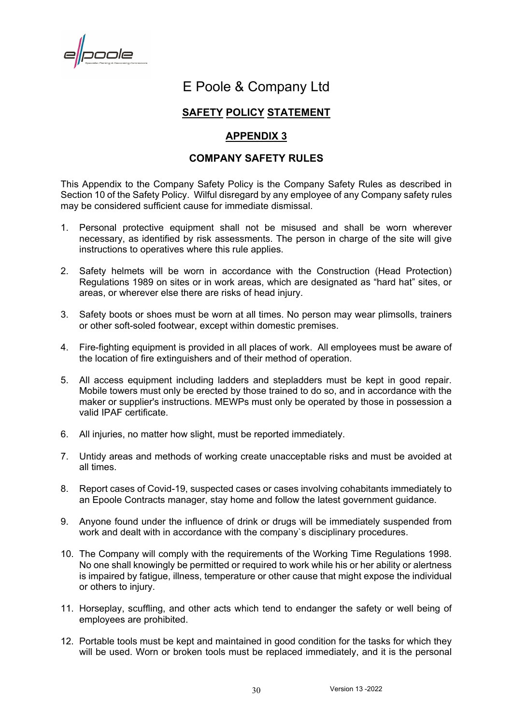poole

## E Poole & Company Ltd

#### **SAFETY POLICY STATEMENT**

#### **APPENDIX 3**

#### **COMPANY SAFETY RULES**

<span id="page-32-1"></span><span id="page-32-0"></span>This Appendix to the Company Safety Policy is the Company Safety Rules as described in Section 10 of the Safety Policy. Wilful disregard by any employee of any Company safety rules may be considered sufficient cause for immediate dismissal.

- 1. Personal protective equipment shall not be misused and shall be worn wherever necessary, as identified by risk assessments. The person in charge of the site will give instructions to operatives where this rule applies.
- 2. Safety helmets will be worn in accordance with the Construction (Head Protection) Regulations 1989 on sites or in work areas, which are designated as "hard hat" sites, or areas, or wherever else there are risks of head injury.
- 3. Safety boots or shoes must be worn at all times. No person may wear plimsolls, trainers or other soft-soled footwear, except within domestic premises.
- 4. Fire-fighting equipment is provided in all places of work. All employees must be aware of the location of fire extinguishers and of their method of operation.
- 5. All access equipment including ladders and stepladders must be kept in good repair. Mobile towers must only be erected by those trained to do so, and in accordance with the maker or supplier's instructions. MEWPs must only be operated by those in possession a valid IPAF certificate.
- 6. All injuries, no matter how slight, must be reported immediately.
- 7. Untidy areas and methods of working create unacceptable risks and must be avoided at all times.
- 8. Report cases of Covid-19, suspected cases or cases involving cohabitants immediately to an Epoole Contracts manager, stay home and follow the latest government guidance.
- 9. Anyone found under the influence of drink or drugs will be immediately suspended from work and dealt with in accordance with the company`s disciplinary procedures.
- 10. The Company will comply with the requirements of the Working Time Regulations 1998. No one shall knowingly be permitted or required to work while his or her ability or alertness is impaired by fatigue, illness, temperature or other cause that might expose the individual or others to injury.
- 11. Horseplay, scuffling, and other acts which tend to endanger the safety or well being of employees are prohibited.
- 12. Portable tools must be kept and maintained in good condition for the tasks for which they will be used. Worn or broken tools must be replaced immediately, and it is the personal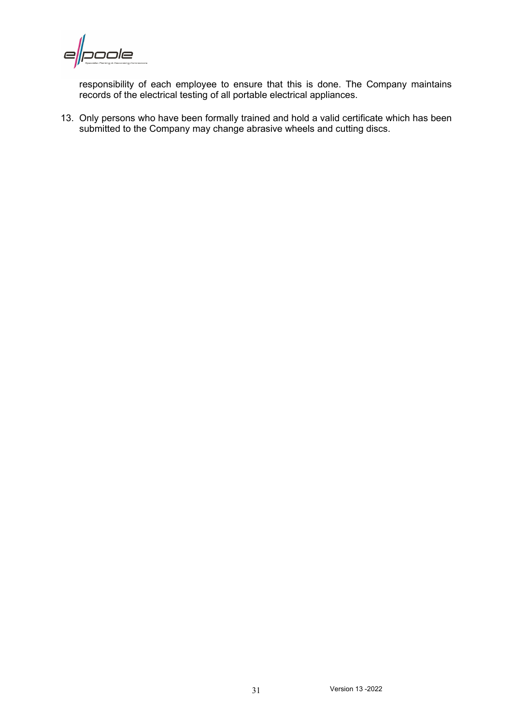poole  $\epsilon$ 

responsibility of each employee to ensure that this is done. The Company maintains records of the electrical testing of all portable electrical appliances.

13. Only persons who have been formally trained and hold a valid certificate which has been submitted to the Company may change abrasive wheels and cutting discs.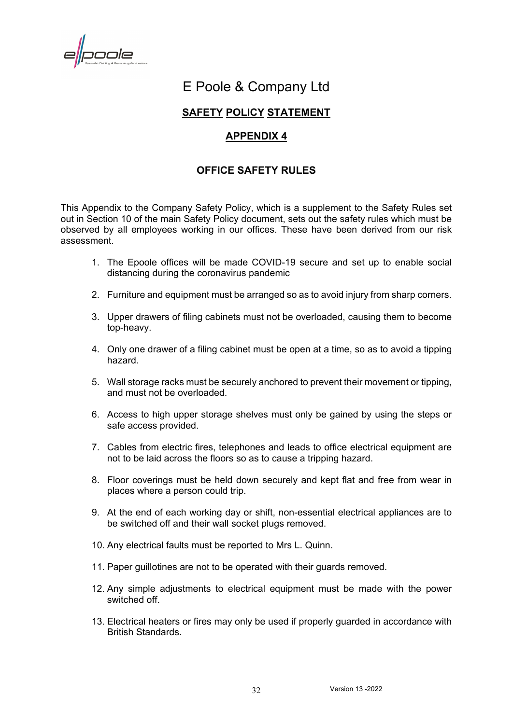poole

# E Poole & Company Ltd

#### **SAFETY POLICY STATEMENT**

#### **APPENDIX 4**

#### **OFFICE SAFETY RULES**

<span id="page-34-1"></span><span id="page-34-0"></span>This Appendix to the Company Safety Policy, which is a supplement to the Safety Rules set out in Section 10 of the main Safety Policy document, sets out the safety rules which must be observed by all employees working in our offices. These have been derived from our risk assessment.

- 1. The Epoole offices will be made COVID-19 secure and set up to enable social distancing during the coronavirus pandemic
- 2. Furniture and equipment must be arranged so as to avoid injury from sharp corners.
- 3. Upper drawers of filing cabinets must not be overloaded, causing them to become top-heavy.
- 4. Only one drawer of a filing cabinet must be open at a time, so as to avoid a tipping hazard.
- 5. Wall storage racks must be securely anchored to prevent their movement or tipping, and must not be overloaded.
- 6. Access to high upper storage shelves must only be gained by using the steps or safe access provided.
- 7. Cables from electric fires, telephones and leads to office electrical equipment are not to be laid across the floors so as to cause a tripping hazard.
- 8. Floor coverings must be held down securely and kept flat and free from wear in places where a person could trip.
- 9. At the end of each working day or shift, non-essential electrical appliances are to be switched off and their wall socket plugs removed.
- 10. Any electrical faults must be reported to Mrs L. Quinn.
- 11. Paper guillotines are not to be operated with their guards removed.
- 12. Any simple adjustments to electrical equipment must be made with the power switched off.
- 13. Electrical heaters or fires may only be used if properly guarded in accordance with British Standards.